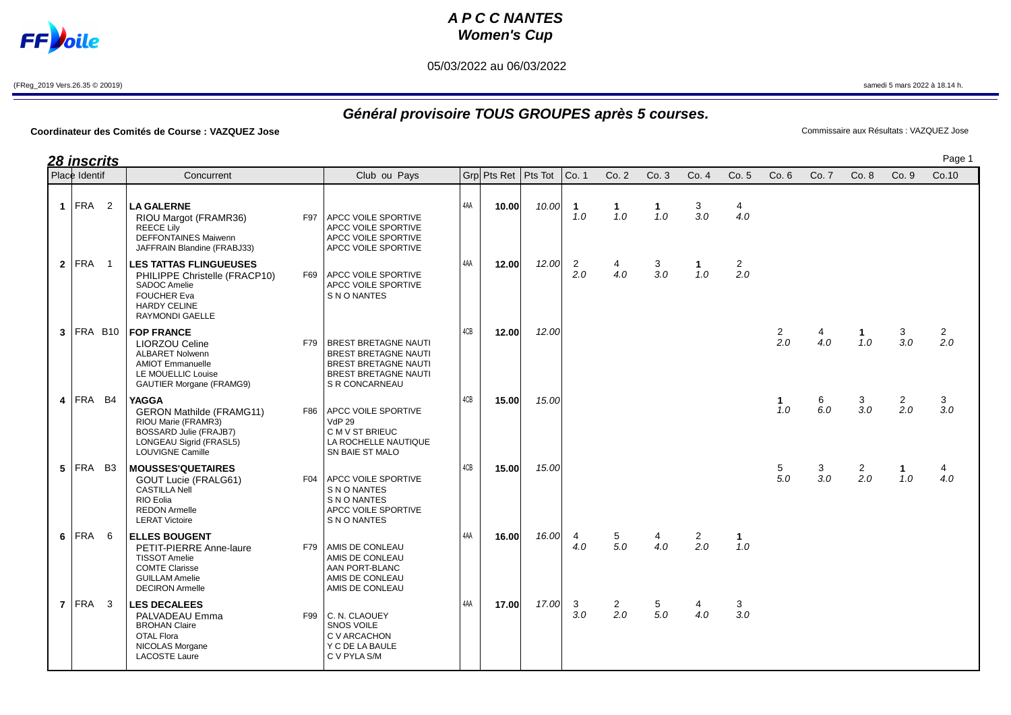## **A P C C NANTES Women's Cup**

05/03/2022 au 06/03/2022

**FF**bile

Page 1

## **Général provisoire TOUS GROUPES après 5 courses.**

## **Coordinateur des Comités de Course : VAZQUEZ Jose** Commissaire aux Résultats : VAZQUEZ Jose

OTAL Flora  $\overline{C}$  V ARCACHON NICOLAS Morgane  $\begin{array}{c|c}\n\end{array}$  Y C DE LA BAULE<br>
LACOSTE Laure C V PYLA S/M

LACOSTE Laure

|                | <b>28 inscrits</b>     |                |                                                                                                                                                               |     |                                                                                                                                            |     |                       |       |                       |                       |                     |                       |                       |                       |          |                     |                       | Pag             |
|----------------|------------------------|----------------|---------------------------------------------------------------------------------------------------------------------------------------------------------------|-----|--------------------------------------------------------------------------------------------------------------------------------------------|-----|-----------------------|-------|-----------------------|-----------------------|---------------------|-----------------------|-----------------------|-----------------------|----------|---------------------|-----------------------|-----------------|
|                | Place Identif          |                | Concurrent                                                                                                                                                    |     | Club ou Pays                                                                                                                               |     | Grp Pts Ret   Pts Tot |       | Co. 1                 | Co.2                  | Co.3                | Co.4                  | Co. 5                 | Co.6                  | Co. 7    | Co.8                | Co.9                  | Co.10           |
| $\mathbf{1}$   | <b>FRA</b>             | 2              | <b>LA GALERNE</b><br>RIOU Margot (FRAMR36)<br>REECE Lily<br><b>DEFFONTAINES Maiwenn</b><br>JAFFRAIN Blandine (FRABJ33)                                        | F97 | <b>APCC VOILE SPORTIVE</b><br>APCC VOILE SPORTIVE<br>APCC VOILE SPORTIVE<br>APCC VOILE SPORTIVE                                            | 4AA | 10.00                 | 10.00 | $\mathbf{1}$<br>1.0   | $\mathbf 1$<br>1.0    | $\mathbf{1}$<br>1.0 | 3<br>3.0              | 4<br>4.0              |                       |          |                     |                       |                 |
|                | $2$ FRA                | $\overline{1}$ | <b>LES TATTAS FLINGUEUSES</b><br>PHILIPPE Christelle (FRACP10)<br><b>SADOC Amelie</b><br><b>FOUCHER Eva</b><br><b>HARDY CELINE</b><br>RAYMONDI GAELLE         | F69 | <b>APCC VOILE SPORTIVE</b><br>APCC VOILE SPORTIVE<br>S N O NANTES                                                                          | 4AA | 12.00                 | 12.00 | $\overline{2}$<br>2.0 | 4<br>4.0              | 3<br>3.0            | $\mathbf 1$<br>1.0    | $\overline{2}$<br>2.0 |                       |          |                     |                       |                 |
| 3 <sup>1</sup> | FRA B10                |                | <b>FOP FRANCE</b><br><b>LIORZOU Celine</b><br><b>ALBARET Nolwenn</b><br><b>AMIOT Emmanuelle</b><br>LE MOUELLIC Louise<br><b>GAUTIER Morgane (FRAMG9)</b>      | F79 | <b>BREST BRETAGNE NAUTI</b><br><b>BREST BRETAGNE NAUTI</b><br><b>BREST BRETAGNE NAUTI</b><br><b>BREST BRETAGNE NAUTI</b><br>S R CONCARNEAU | 4CB | 12.00                 | 12.00 |                       |                       |                     |                       |                       | $\overline{2}$<br>2.0 | 4<br>4.0 | 1.<br>1.0           | 3<br>3.0              | $\frac{2}{2.0}$ |
|                | $4$ FRA B <sub>4</sub> |                | <b>YAGGA</b><br><b>GERON Mathilde (FRAMG11)</b><br>RIOU Marie (FRAMR3)<br>BOSSARD Julie (FRAJB7)<br><b>LONGEAU Sigrid (FRASL5)</b><br><b>LOUVIGNE Camille</b> | F86 | APCC VOILE SPORTIVE<br><b>VdP 29</b><br>C M V ST BRIEUC<br>LA ROCHELLE NAUTIQUE<br>SN BAIE ST MALO                                         | 4CB | 15.00                 | 15.00 |                       |                       |                     |                       |                       | $\mathbf{1}$<br>1.0   | 6<br>6.0 | 3<br>3.0            | $\overline{2}$<br>2.0 | 3<br>3.0        |
|                | $5$ FRA B3             |                | <b>MOUSSES'QUETAIRES</b><br>GOUT Lucie (FRALG61)<br><b>CASTILLA Nell</b><br>RIO Eolia<br><b>REDON Armelle</b><br><b>LERAT Victoire</b>                        | F04 | <b>APCC VOILE SPORTIVE</b><br>S N O NANTES<br>S N O NANTES<br>APCC VOILE SPORTIVE<br>S N O NANTES                                          | 4CB | 15.00                 | 15.00 |                       |                       |                     |                       |                       | 5<br>5.0              | 3<br>3.0 | $\mathbf{2}$<br>2.0 | $\mathbf{1}$<br>1.0   | 4<br>4.0        |
| 6              | FRA                    | -6             | <b>ELLES BOUGENT</b><br>PETIT-PIERRE Anne-laure<br><b>TISSOT Amelie</b><br><b>COMTE Clarisse</b><br><b>GUILLAM Amelie</b><br><b>DECIRON Armelle</b>           |     | F79 AMIS DE CONLEAU<br>AMIS DE CONLEAU<br>AAN PORT-BLANC<br>AMIS DE CONLEAU<br>AMIS DE CONLEAU                                             | 4AA | 16.00                 | 16.00 | $\overline{4}$<br>4.0 | 5<br>5.0              | 4<br>4.0            | $\overline{2}$<br>2.0 | $\mathbf 1$<br>1.0    |                       |          |                     |                       |                 |
|                | $7$ FRA 3              |                | <b>LES DECALEES</b><br>PALVADEAU Emma<br><b>BROHAN Claire</b>                                                                                                 | F99 | C. N. CLAOUEY<br>SNOS VOILE                                                                                                                | 4AA | 17.00                 | 17.00 | 3<br>3.0              | $\overline{2}$<br>2.0 | 5<br>5.0            | 4.0                   | 3<br>3.0              |                       |          |                     |                       |                 |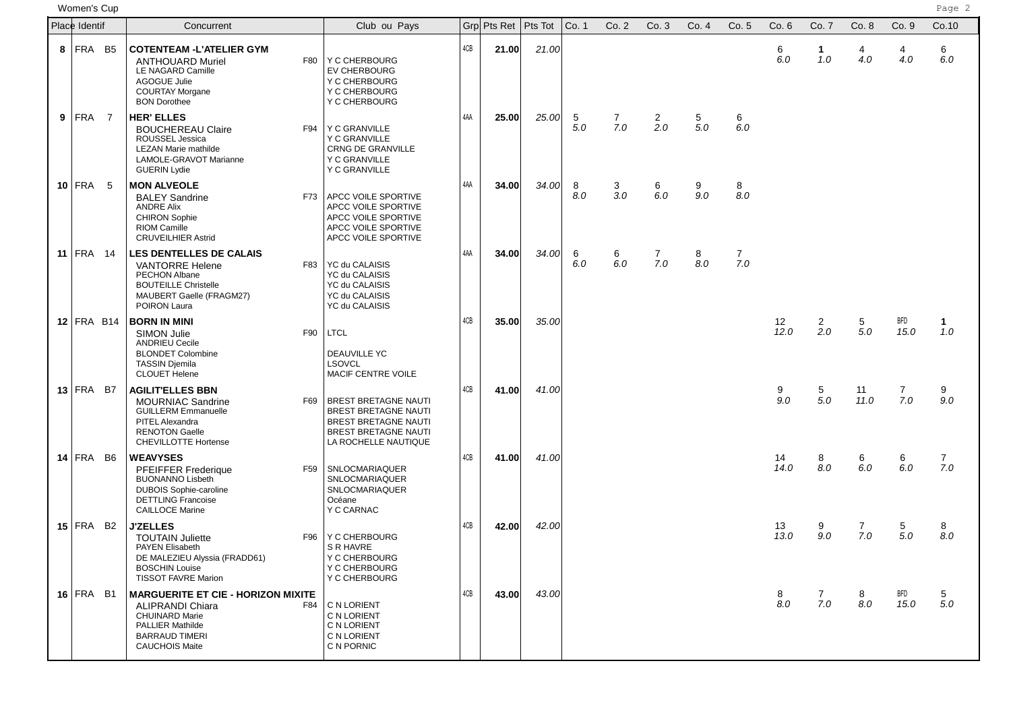women'**s Cup** Page 2 (Page 2 ) Page 2 (Page 2 ) Page 2 (Page 2 ) Page 2 ) Page 2 ) Page 2 ) Page 2 ) Page 2 ) Page 2 ) Page 2 ) Page 2 ) Page 2 ) Page 2 ) Page 2 ) Page 2 ) Page 2 ) Page 2 ) Page 2 ) Page 2 ) Page 2 ) Page

| Place Identif |                         | Concurrent                                                                                                                                                                 | Club ou Pays                                                                                                                       |     | Grp Pts Ret   Pts Tot |       | Co. 1    | Co. 2                 | Co.3                  | Co.4                      | Co. 5                 | Co.6       | Co. 7                 | Co.8       | Co.9                  | Co.10              |
|---------------|-------------------------|----------------------------------------------------------------------------------------------------------------------------------------------------------------------------|------------------------------------------------------------------------------------------------------------------------------------|-----|-----------------------|-------|----------|-----------------------|-----------------------|---------------------------|-----------------------|------------|-----------------------|------------|-----------------------|--------------------|
| 8             | FRA B5                  | <b>COTENTEAM -L'ATELIER GYM</b><br>F80<br><b>ANTHOUARD Muriel</b><br>LE NAGARD Camille<br><b>AGOGUE Julie</b><br><b>COURTAY Morgane</b><br><b>BON Dorothee</b>             | Y C CHERBOURG<br><b>EV CHERBOURG</b><br>Y C CHERBOURG<br>Y C CHERBOURG<br>Y C CHERBOURG                                            | 4CB | 21.00                 | 21.00 |          |                       |                       |                           |                       | 6<br>6.0   | $\mathbf 1$<br>1.0    | 4<br>4.0   | 4<br>4.0              | 6<br>6.0           |
|               | $9$ FRA 7               | <b>HER' ELLES</b><br><b>BOUCHEREAU Claire</b><br>F94<br>ROUSSEL Jessica<br>LEZAN Marie mathilde<br>LAMOLE-GRAVOT Marianne<br><b>GUERIN Lydie</b>                           | Y C GRANVILLE<br>Y C GRANVILLE<br>CRNG DE GRANVILLE<br>Y C GRANVILLE<br>Y C GRANVILLE                                              | 4AA | 25.00                 | 25.00 | 5<br>5.0 | $\overline{7}$<br>7.0 | $\overline{2}$<br>2.0 | 5 <sub>5</sub><br>$5.0\,$ | 6<br>6.0              |            |                       |            |                       |                    |
|               | $10$ FRA 5              | <b>MON ALVEOLE</b><br><b>BALEY Sandrine</b><br>F73<br><b>ANDRE Alix</b><br><b>CHIRON Sophie</b><br><b>RIOM Camille</b><br><b>CRUVEILHIER Astrid</b>                        | APCC VOILE SPORTIVE<br>APCC VOILE SPORTIVE<br>APCC VOILE SPORTIVE<br>APCC VOILE SPORTIVE<br>APCC VOILE SPORTIVE                    | 4AA | 34.00                 | 34.00 | 8<br>8.0 | 3<br>3.0              | 6<br>6.0              | 9<br>9.0                  | 8<br>8.0              |            |                       |            |                       |                    |
|               | 11 FRA $14$             | <b>LES DENTELLES DE CALAIS</b><br><b>VANTORRE Helene</b><br>F83<br>PECHON Albane<br><b>BOUTEILLE Christelle</b><br>MAUBERT Gaelle (FRAGM27)<br>POIRON Laura                | YC du CALAISIS<br>YC du CALAISIS<br>YC du CALAISIS<br>YC du CALAISIS<br>YC du CALAISIS                                             | 4AA | 34.00                 | 34.00 | 6<br>6.0 | 6<br>6.0              | 7<br>7.0              | 8<br>8.0                  | $\overline{7}$<br>7.0 |            |                       |            |                       |                    |
|               | $12$ FRA B14            | <b>BORN IN MINI</b><br><b>SIMON Julie</b><br>F90<br><b>ANDRIEU Cecile</b><br><b>BLONDET Colombine</b><br><b>TASSIN Djemila</b><br><b>CLOUET Helene</b>                     | <b>LTCL</b><br><b>DEAUVILLE YC</b><br><b>LSOVCL</b><br>MACIF CENTRE VOILE                                                          | 4CB | 35.00                 | 35.00 |          |                       |                       |                           |                       | 12<br>12.0 | $\overline{2}$<br>2.0 | 5<br>5.0   | BFD<br>15.0           | 1.<br>1.0          |
|               | $13$ FRA B7             | <b>AGILIT'ELLES BBN</b><br><b>MOURNIAC Sandrine</b><br>F69<br><b>GUILLERM Emmanuelle</b><br>PITEL Alexandra<br><b>RENOTON Gaelle</b><br><b>CHEVILLOTTE Hortense</b>        | <b>BREST BRETAGNE NAUTI</b><br><b>BREST BRETAGNE NAUTI</b><br>BREST BRETAGNE NAUTI<br>BREST BRETAGNE NAUTI<br>LA ROCHELLE NAUTIQUE | 4CB | 41.00                 | 41.00 |          |                       |                       |                           |                       | 9<br>9.0   | 5<br>5.0              | 11<br>11.0 | $\overline{7}$<br>7.0 | 9<br>9.0           |
|               | 14 FRA B6               | <b>WEAVYSES</b><br>PFEIFFER Frederique<br>F59<br><b>BUONANNO Lisbeth</b><br><b>DUBOIS Sophie-caroline</b><br><b>DETTLING Francoise</b><br><b>CAILLOCE Marine</b>           | SNLOCMARIAQUER<br>SNLOCMARIAQUER<br>SNLOCMARIAQUER<br>Océane<br>Y C CARNAC                                                         | 4CB | 41.00                 | 41.00 |          |                       |                       |                           |                       | 14<br>14.0 | 8<br>8.0              | 6<br>6.0   | 6<br>6.0              | $7^{\circ}$<br>7.0 |
|               | $15$ FRA B <sub>2</sub> | <b>J'ZELLES</b><br>F96<br><b>TOUTAIN Juliette</b><br><b>PAYEN Elisabeth</b><br>DE MALEZIEU Alyssia (FRADD61)<br><b>BOSCHIN Louise</b><br><b>TISSOT FAVRE Marion</b>        | Y C CHERBOURG<br>S R HAVRE<br>Y C CHERBOURG<br>Y C CHERBOURG<br>Y C CHERBOURG                                                      | 4CB | 42.00                 | 42.00 |          |                       |                       |                           |                       | 13<br>13.0 | 9<br>9.0              | 7<br>7.0   | 5<br>5.0              | 8<br>8.0           |
|               | $16$ FRA B1             | <b>MARGUERITE ET CIE - HORIZON MIXITE</b><br>ALIPRANDI Chiara<br>F84<br><b>CHUINARD Marie</b><br><b>PALLIER Mathilde</b><br><b>BARRAUD TIMERI</b><br><b>CAUCHOIS Maite</b> | C N LORIENT<br>C N LORIENT<br>C N LORIENT<br>C N LORIENT<br>C N PORNIC                                                             | 4CB | 43.00                 | 43.00 |          |                       |                       |                           |                       | 8<br>8.0   | $\overline{7}$<br>7.0 | 8<br>8.0   | BFD<br>15.0           | 5<br>5.0           |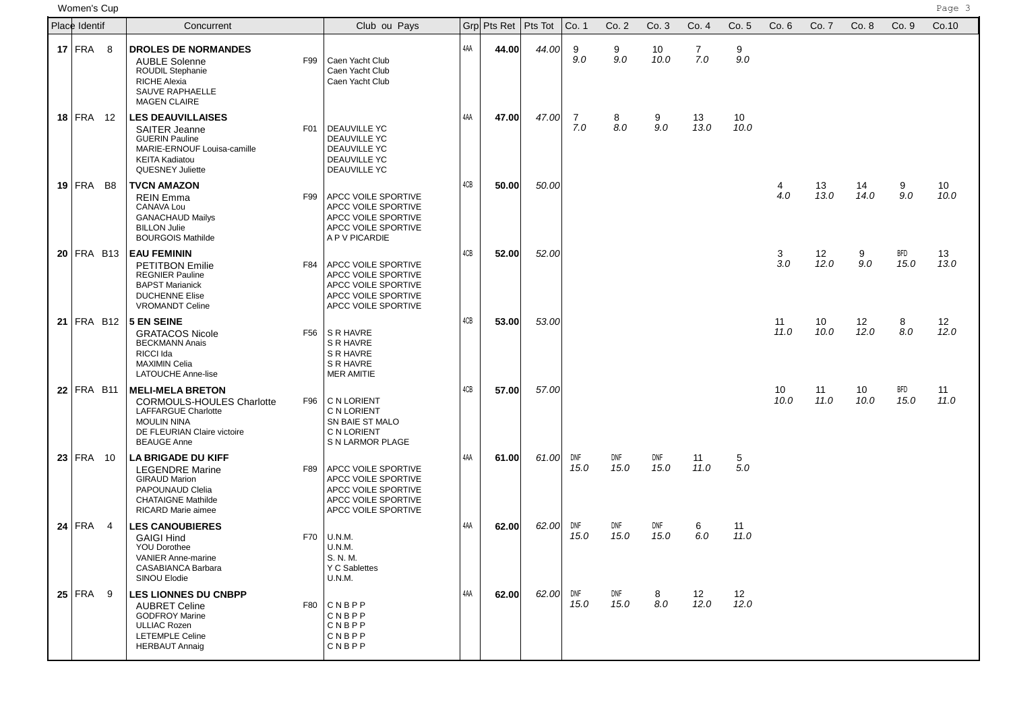women'**s Cup** Page 3 and the page 3 and the page 3 and the page 3 and the page 3 and the page 3 and the page 3 and the page 3 and the page 3 and the page 3 and the page 3 and the page 3 and the page 3 and the page 3 and th

| Place Identif           | Concurrent                                                                                                                                                                  | Club ou Pays                                                                                                                  |     | Grol Pts Ret   Pts Tot |             | Co. 1       | Co. 2       | Co.3        | Co.4                  | Co.5       | Co.6       | Co. 7      | Co.8       | Co.9        | Co.10      |
|-------------------------|-----------------------------------------------------------------------------------------------------------------------------------------------------------------------------|-------------------------------------------------------------------------------------------------------------------------------|-----|------------------------|-------------|-------------|-------------|-------------|-----------------------|------------|------------|------------|------------|-------------|------------|
| $17$ FRA 8              | <b>DROLES DE NORMANDES</b><br><b>AUBLE Solenne</b><br>F99<br>ROUDIL Stephanie<br>RICHE Alexia<br>SAUVE RAPHAELLE<br><b>MAGEN CLAIRE</b>                                     | Caen Yacht Club<br>Caen Yacht Club<br>Caen Yacht Club                                                                         | 4AA | 44.00                  | 44.00       | 9<br>9.0    | 9<br>9.0    | 10<br>10.0  | $\overline{7}$<br>7.0 | 9<br>9.0   |            |            |            |             |            |
| $18$ FRA 12             | <b>LES DEAUVILLAISES</b><br><b>SAITER Jeanne</b><br>F01<br><b>GUERIN Pauline</b><br>MARIE-ERNOUF Louisa-camille<br><b>KEITA Kadiatou</b><br><b>QUESNEY Juliette</b>         | <b>DEAUVILLE YC</b><br><b>DEAUVILLE YC</b><br><b>DEAUVILLE YC</b><br><b>DEAUVILLE YC</b><br><b>DEAUVILLE YC</b>               | 4AA | 47.00                  | 47.00       | 7<br>7.0    | 8<br>8.0    | 9<br>9.0    | 13<br>13.0            | 10<br>10.0 |            |            |            |             |            |
| $19$ FRA B <sub>8</sub> | <b>TVCN AMAZON</b><br><b>REIN Emma</b><br><b>CANAVA Lou</b><br><b>GANACHAUD Mailys</b><br><b>BILLON Julie</b><br><b>BOURGOIS Mathilde</b>                                   | F99   APCC VOILE SPORTIVE<br>APCC VOILE SPORTIVE<br>APCC VOILE SPORTIVE<br>APCC VOILE SPORTIVE<br>A P V PICARDIE              | 4CB | 50.00                  | 50.00       |             |             |             |                       |            | 4<br>4.0   | 13<br>13.0 | 14<br>14.0 | 9<br>9.0    | 10<br>10.0 |
| $20$ FRA B13            | <b>EAU FEMININ</b><br>F84<br><b>PETITBON Emilie</b><br><b>REGNIER Pauline</b><br><b>BAPST Marianick</b><br><b>DUCHENNE Elise</b><br><b>VROMANDT Celine</b>                  | <b>APCC VOILE SPORTIVE</b><br>APCC VOILE SPORTIVE<br>APCC VOILE SPORTIVE<br>APCC VOILE SPORTIVE<br>APCC VOILE SPORTIVE        | 4CB | 52.00                  | 52.00       |             |             |             |                       |            | 3<br>3.0   | 12<br>12.0 | 9<br>9.0   | BFD<br>15.0 | 13<br>13.0 |
| $21$ FRA B12            | 5 EN SEINE<br><b>GRATACOS Nicole</b><br><b>BECKMANN Anais</b><br>RICCI Ida<br><b>MAXIMIN Celia</b><br><b>LATOUCHE Anne-lise</b>                                             | F56 SR HAVRE<br>S R HAVRE<br>S R HAVRE<br>S R HAVRE<br><b>MER AMITIE</b>                                                      | 4CB | 53.00                  | 53.00       |             |             |             |                       |            | 11<br>11.0 | 10<br>10.0 | 12<br>12.0 | 8<br>8.0    | 12<br>12.0 |
| $22$ FRA B11            | <b>MELI-MELA BRETON</b><br><b>CORMOULS-HOULES Charlotte</b><br>F96<br><b>LAFFARGUE Charlotte</b><br><b>MOULIN NINA</b><br>DE FLEURIAN Claire victoire<br><b>BEAUGE Anne</b> | C N LORIENT<br>C N LORIENT<br>SN BAIE ST MALO<br>C N LORIENT<br>S N LARMOR PLAGE                                              | 4CB | 57.00                  | 57.00       |             |             |             |                       |            | 10<br>10.0 | 11<br>11.0 | 10<br>10.0 | BFD<br>15.0 | 11<br>11.0 |
| $23$ FRA 10             | <b>LA BRIGADE DU KIFF</b><br><b>LEGENDRE Marine</b><br>F89<br><b>GIRAUD Marion</b><br>PAPOUNAUD Clelia<br><b>CHATAIGNE Mathilde</b><br><b>RICARD Marie aimee</b>            | <b>APCC VOILE SPORTIVE</b><br>APCC VOILE SPORTIVE<br><b>APCC VOILE SPORTIVE</b><br>APCC VOILE SPORTIVE<br>APCC VOILE SPORTIVE | 4AA | 61.00                  | 61.00       | DNF<br>15.0 | DNF<br>15.0 | DNF<br>15.0 | 11<br>11.0            | 5<br>5.0   |            |            |            |             |            |
| $24$ FRA 4              | <b>LES CANOUBIERES</b><br>F70<br><b>GAIGI Hind</b><br><b>YOU Dorothee</b><br>VANIER Anne-marine<br>CASABIANCA Barbara<br>SINOU Elodie                                       | U.N.M.<br>U.N.M.<br>S. N. M.<br>Y C Sablettes<br>U.N.M.                                                                       | 4AA | 62.00                  | 62.00       | DNF<br>15.0 | DNF<br>15.0 | DNF<br>15.0 | 6<br>6.0              | 11<br>11.0 |            |            |            |             |            |
| $25$ FRA 9              | <b>LES LIONNES DU CNBPP</b><br><b>AUBRET Celine</b><br>F80<br><b>GODFROY Marine</b><br><b>ULLIAC Rozen</b><br><b>LETEMPLE Celine</b><br><b>HERBAUT Annaig</b>               | CNBPP<br>CNBPP<br>CNBPP<br>CNBPP<br>CNBPP                                                                                     | 4AA | 62.00                  | $62.00$ DNF | 15.0        | DNF<br>15.0 | 8<br>8.0    | 12<br>12.0            | 12<br>12.0 |            |            |            |             |            |